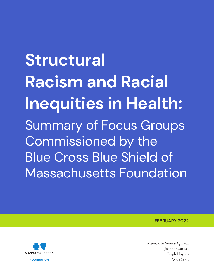**Structural Racism and Racial Inequities in Health:**  Summary of Focus Groups Commissioned by the Blue Cross Blue Shield of Massachusetts Foundation

FEBRUARY 2022



Meenakshi Verma-Agrawal Joanna Gattuso Leigh Haynes *Consultants*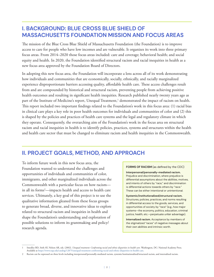## **I. BACKGROUND: BLUE CROSS BLUE SHIELD OF MASSACHUSETTS FOUNDATION MISSION AND FOCUS AREAS**

The mission of the Blue Cross Blue Shield of Massachusetts Foundation (the Foundation) is to improve access to care for people who have low incomes and are vulnerable. It organizes its work into three primary focus areas. From 2014–2020 those focus areas included: care and coverage; behavioral health; and social equity and health. In 2020, the Foundation identified structural racism and racial inequities in health as a new focus area approved by the Foundation Board of Directors.

In adopting this new focus area, the Foundation will incorporate a lens across all of its work demonstrating how individuals and communities that are economically, socially, ethnically, and racially marginalized experience disproportionate barriers accessing quality, affordable health care. These access challenges result from and are compounded by historical and structural racism, preventing people from achieving positive health outcomes and resulting in significant health inequities. Research published nearly twenty years ago as part of the Institute of Medicine's report, Unequal Treatment,<sup>1</sup> demonstrated the impact of racism on health. This report included two important findings related to the Foundation's work in this focus area: (1) racial bias in clinical care plays a key role in poor health outcomes for individuals and communities of color and (2) this is shaped by the policies and practices of health care systems and the legal and regulatory climate in which they operate. Consequently, the overarching aim of the Foundation's work in the focus area on structural racism and racial inequities in health is to identify policies, practices, systems and structures within the health and health care sector that must be changed to eliminate racism and health inequities in the Commonwealth.

## **II. PROJECT GOALS, METHOD, AND APPROACH**

To inform future work in this new focus area, the Foundation wanted to understand the challenges and opportunities of individuals and communities of color, immigrants, and other marginalized individuals across the Commonwealth with a particular focus on how racism in all its forms2 —impacts health and access to health care services. Ultimately, a key goal of this project is to use the qualitative information gleaned from these focus groups to generate broad, diverse, and innovative ideas to explore related to structural racism and inequities in health and shape the Foundation's understanding and exploration of possible solutions to inform its grantmaking and policy/ research agenda.

#### **FORMS OF RACISM** (as defined by the CDC)

**Interpersonal/personally-mediated racism.** Prejudice and discrimination, where prejudice is differential assumptions about the abilities, motives, and intents of others by "race," and discrimination is differential actions towards others by "race." These can be either intentional or unintentional.

**Systemic/institutionalized/structural racism.** Structures, policies, practices, and norms resulting in differential access to the goods, services, and opportunities of society by "race" (e.g., how major systems—the economy, politics, education, criminal justice, health, etc.—perpetuate unfair advantage).

**Internalized racism.** Acceptance by members of the stigmatized "races" of negative messages about their own abilities and intrinsic worth.

<sup>1</sup> Smedley BD, Stith AY, Nelson AR, eds. (2002). *Unequal treatment: Confronting racial and ethnic disparities in health care.* Washington, DC: National Academy Press. Available at<https://www.nap.edu/catalog/12875/unequal-treatment-confronting-racial-and-ethnic-disparities-in-health-care>.

<sup>2</sup> Racism can be expressed on three levels including interpersonal/personally-mediated racism, systemic/institutionalized/structural racism, and internalized racism.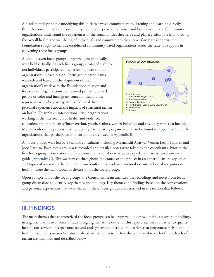A fundamental principle underlying this initiative was a commitment to listening and learning directly from the communities and community members experiencing racism and health inequities. Community organizations understand the experiences of the communities they serve and play a critical role in improving the overall health and well-being of individuals and communities they serve. Given this context, the Foundation sought to include established community-based organizations across the state for support in convening these focus groups.

A total of seven focus groups, organized geographically, were held virtually. At each focus group, a total of eight to ten individuals participated, representing three to four organizations in each region. Focus group participants were selected based on the alignment of their organization's work with the Foundation's mission and focus areas. Organizations represented primarily served people of color and immigrant communities and the representatives who participated could speak from personal experience about the impacts of structural racism on health. To apply an intersectional lens, organizations working at the intersection of health and violence,



education, trauma, re-entry/incarceration, youth, seniors, wealth-building, and advocacy were also included. More details on the process used to identify participating organizations can be found in [Appendix A](#page-10-0) and the organizations that participated in focus groups are listed in [Appendix B.](#page-11-0)

All focus groups were led by a team of consultants including Meenakshi Agarwal-Verma, Leigh Haynes, and Joey Gattuso. Each focus group was recorded and detailed notes were taken by the consultants. Prior to the first focus group, Foundation staff and consultants collaboratively developed a semi-structured interview guide [[Appendix C\]](#page-12-0). This was revised throughout the course of the project in an effort to ensure key issues and topics of interest to the Foundation—to inform its work in structural racism and racial inequities in health—were the main topics of discussion in the focus groups.

Upon completion of the focus groups, the Consultant team analyzed the recordings and notes from focus group discussions to identify key themes and findings. Key themes and findings based on the conversations and personal experiences that were shared in these focus groups are described in the section that follows.

## **III. FINDINGS**

The main themes that characterized the focus groups can be organized under two main categories of findings, in alignment with two forms of racism highlighted at the outset of this report: racism as a barrier to quality health care services (interpersonal racism) and systemic and structural barriers that perpetuate racism and health inequities (systemic/institutionalized/structural racism). Key themes related to each of these levels of racism are identified and described below.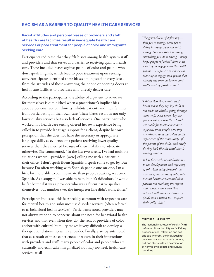### **RACISM AS A BARRIER TO QUALITY HEALTH CARE SERVICES**

### **Racist attitudes and personal biases of providers and staff at health care facilities result in inadequate health care services or poor treatment for people of color and immigrants seeking care.**

Participants indicated that they felt biases among health system staff and providers and that serves as a barrier to receiving quality health care. These included biases against people of color and people who don't speak English, which lead to poor treatment upon seeking care. Participants identified these biases among staff at every level, from the attitudes of those answering the phone or opening doors at health care facilities to providers who directly deliver care.

According to the participants, the ability of a patient to advocate for themselves is diminished when a practitioner's implicit bias about a person's race or ethnicity inhibits patients and their families from participating in their own care. These biases result in not only lower quality services but also lack of services. One participant who worked in a health care setting offered her own experience being called in to provide language support for a client, despite her own perception that she does not have the necessary or appropriate language skills, as evidence of a patient receiving lower quality services than they merited because of their inability to advocate otherwise. She commented, "In the last two weeks, I've had multiple situations where…providers [were] calling me with a patient in their office. I don't speak fluent Spanish; I speak some to get by. But because I'm often working with Spanish people one-on-one, I'm a little bit more able to communicate than people speaking academic Spanish. As a stopgap, I was able to help, but it's ridiculous. It would be far better if it was a provider who was a fluent native speaker themselves, but number two, the interpreter line didn't work either."

Participants indicated this is especially common with respect to care for mental health and substance use disorder services (often referred to as behavioral health services). Participants noted providers may not always respond to concerns about the need for behavioral health services and that even when they do, the lack of providers of color and/or with cultural humility makes it very difficult to develop a therapeutic relationship with a provider. Finally, participants noted that as a result of these experiences of racism in their interactions with providers and staff, many people of color and people who are culturally and ethnically marginalized not may not seek health care services at all.

*"The general lens of deficiency that you're wrong, what you're doing is wrong, how you eat is wrong, how you think is wrong, everything you do is wrong—really keeps people [of color?] from even wanting to engage with the health system… People are just not even wanting to engage in a system that already sees them as broken and really needing justification."*

*"I think that the parents aren't heard when they say 'my child is not bad; my child is going through some stuff.' And when they are given a voice, when the referrals are made for treatment and/or supports, those people who they are referred to do not relate to the experience of the community, of the parent of the child, and rarely do they look like the child that is seeking services…*

*It has far-reaching implications as to the development and trajectory of this child going forward…as a result of not receiving adequate mental health services and then parents not receiving the respect and courtesy due when they interact with those in authority [and] in a position to…impact their child's life."*

#### **CULTURAL HUMILITY**

The National Institutes of Health (NIH) defines cultural humility as "a lifelong process of self-reflection and selfcritique whereby the individual not only learns about another's culture, but one starts with an examination of her/his own beliefs and cultural identities."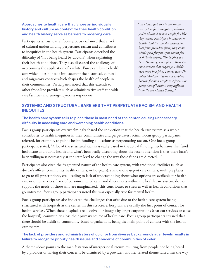### **Approaches to health care that ignore an individual's history and culture as context for their health condition and health history serve as barriers to receiving care.**

Participants across several focus groups explained that a lack of cultural understanding perpetuates racism and contributes to inequities in the health system. Participants described the difficulty of "not being heard by doctors" when explaining their health conditions. They also discussed the challenge of overcoming the application of a white, European lens to health care which does not take into account the historical, cultural and migratory context which shapes the health of people in their communities. Participants noted that this extends to other front-line providers such as administrative staff at health care facilities and emergency/crisis responders.

*"...it almost feels like in the health care system for immigrants, whether you're educated or not, people feel like they cannot participate in their own health. And it's...maybe unconscious bias from providers [that] they know what's good for you...you almost feel as if they're saying, 'I'm helping you here; I'm doing you a favor. There are some services that maybe you didn't even have in Africa. I know what I'm doing.' And that becomes a problem because for most people in Africa, our perception of health is very different from [in the United States]."*

### **SYSTEMIC AND STRUCTURAL BARRIERS THAT PERPETUATE RACISM AND HEALTH INEQUITIES**

### **The health care system fails to place those in most need at the center, causing unnecessary difficulty in accessing care and worsening health conditions.**

Focus group participants overwhelmingly shared the conviction that the health care system as a whole contributes to health inequities in their communities and perpetuates racism. Focus group participants referred, for example, to public health funding allocations as perpetuating racism. One focus group participant stated, "A lot of the structural racism is really based in the actual funding mechanisms that fund healthcare and public health and what's been really disturbing about the recent attention is that there hasn't been willingness necessarily at the state level to change the way those funds are directed..."

Participants also cited the fragmented nature of the health care system, with traditional facilities (such as doctor's offices, community health centers, or hospitals), stand-alone urgent care centers, multiple places to go to fill prescriptions, etc., leading to lack of understanding about what options are available for health care or other services. Lack of person-centered care, and disconnects within the health care system, do not support the needs of those who are marginalized. This contributes to stress as well as health conditions that go untreated; focus group participants noted this was especially true for mental health.

Focus group participants also indicated the challenges that arise due to the health care system being structured with hospitals at the center. In this structure, hospitals are usually the first point of contact for health services. When these hospitals are dissolved or bought by larger corporations (that cut services or close the hospital), communities lose their primary source of health care. Focus group participants stressed that there should be a shift to community-based organizations being the main point of contact with the health care system.

### **The lack of providers and administrators of color or from diverse backgrounds at all levels results in failure to recognize priority health issues and concerns of communities of color.**

A theme above points to the manifestation of interpersonal racism resulting from people not being heard by a provider or having their concerns be dismissed by a provider; another related theme raised was the way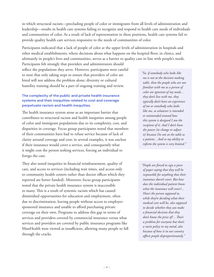in which structural racism—precluding people of color or immigrants from all levels of administration and leadership—results in health care systems failing to recognize and respond to health care needs of individuals and communities of color. As a result of lack of representation in these positions, health care systems fail to provide quality health care services responsive to the needs of communities of color.

Participants indicated that a lack of people of color at the upper levels of administration in hospitals and other medical establishments, where decisions about what happens on the hospital floor, in clinics, and ultimately in people's lives and communities, serves as a barrier to quality care in line with people's needs.

Participants felt strongly that providers and administrators should reflect the populations they serve. However, participants were careful to note that only taking steps to ensure that providers of color are hired will not address the problem alone; diversity or cultural humility training should be a part of ongoing training and review.

### **The complexity of the public and private health insurance systems and their inequities related to cost and coverage perpetuate racism and health inequities.**

The health insurance system arose as an important barrier that contributes to structural racism and health inequities among people of color and immigrant populations due to its complexity, cost, and disparities in coverage. Focus group participants noted that members of their communities have had to refuse service because of lack of clarity around coverage and cost; in several examples, it was unclear if their insurance would cover a service, and consequently what it might cost the person seeking services, forcing an individual to forego the care.

They also noted inequities in financial reimbursement, quality of care, and access to services (including wait times, and access only to community health centers rather than doctor offices which they reported are better funded). Moreover, focus group participants noted that the private health insurance system is inaccessible to many. This is a result of systemic racism which has caused diminished opportunities for education and employment, often due to discrimination, leaving people without access to employersponsored insurance and unable to afford purchasing private coverage on their own. Programs to address this gap in terms of services and providers covered by commercial insurance versus what services and providers are covered by public insurance programs like MassHealth were viewed as insufficient, allowing many people to fall through the cracks.

*"So, if somebody who looks like me is not at the decision making table, then the people who are not familiar with me as a person of color are ignorant of my needs… they don't live with me, they typically don't have an experience of me or somebody who looks like me, so whatever is intended or unintended around how this system is designed I am the recipient of it. And I don't have the power [to change or adjust it] because I'm not at the table as a patient…And so my ability to inform the system is very limited."*

*"People are forced to sign a piece of paper saying that they will be responsible for anything that their insurance doesn't cover. But how does the individual patient know what the insurance will cover?... How's the person supposed to, while they're deciding what their medical care will be, also supposed to decide whether they can make a financial decision that they don't know the price of?…That's a problem for everyone but that's a racist policy in my mind, also because of how it in our country affects people disproportionately."*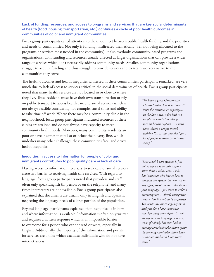### **Lack of funding, resources, and access to programs and services that are key social determinants of health (food, housing, transportation, etc.) continues a cycle of poor health outcomes in communities of color and immigrant communities.**

Focus group participants called attention to the disconnect between public health funding and the priorities and needs of communities. Not only is funding misdirected thematically (i.e., not being allocated to the programs or services most needed in the community), it also overlooks community-based programs and organizations, with funding and resources usually directed at larger organizations that can provide a wider range of services which don't necessarily address community needs. Smaller, community organizations struggle to acquire funding and thus struggle to provide services and to retain workers native to the communities they serve.

The health outcomes and health inequities witnessed in these communities, participants remarked, are very much due to lack of access to services critical to the social determinants of health. Focus group participants

noted that many health services are not located in or close to where they live. Thus, residents must have their own transportation or rely on public transport to access health care and social services which is not always feasible considering, for example, travel times and ability to take time off work. Where there may be a community clinic in the neighborhood, focus group participants indicated resources at these clinics are strained and do not always have capacity to meet community health needs. Moreover, many community residents are poor or have incomes that fall at or below the poverty line, which underlies many other challenges these communities face, and drives health inequities.

### **Inequities in access to information for people of color and immigrants contributes to poor quality care or lack of care.**

Having access to information necessary to seek care or social services arose as a barrier to receiving health care services. With regard to language, focus group participants noted that providers and staff often only speak English (in person or on the telephone) and many times interpreters are not available. Focus group participants also explained that documents are usually only in English and Spanish, neglecting the language needs of a large portion of the population.

Beyond language, participants explained that inequities lie in how and where information is available. Information is often only written and requires a written response which is an impossible barrier to overcome for a person who cannot read or write, especially in English. Additionally, the majority of the information and portals for services are online which excludes individuals who do not have internet access.

*"We have a great Community Health Center, but it just doesn't have the resources or capacity… In the last week, we've had two people we wanted to refer for mental health support…in both cases, there's a couple month waiting list. It's not practical for a lot of people to drive 30 minutes away."*

*"Our [health care system] is just not equipped to handle anyone other than a white person who has insurance who knows how to navigate the system. So, you call up any office, there's no one who speaks your language…you have to order a mammogram, …there's interpreter services but it needs to be requested. You walk into an emergency room and you don't have insurance, you sign away your rights, it's not always in your language. I mean, it's as if nobody has ever had to manage somebody who didn't speak the language and who didn't have insurance, and it's a huge access issue."*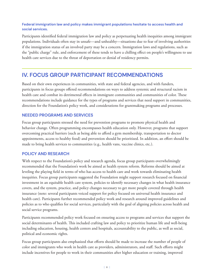### **Federal immigration law and policy makes immigrant populations hesitate to access health and social services.**

Participants identified federal immigration law and policy as perpetuating health inequities among immigrant populations. Individuals often stay in unsafe—and unhealthy—situations due to fear of involving authorities if the immigration status of an involved party may be a concern. Immigration laws and regulations, such as the "public charge" rule, and enforcement of these tends to have a chilling effect on people's willingness to use health care services due to the threat of deportation or denial of residency permits.

## **IV. FOCUS GROUP PARTICIPANT RECOMMENDATIONS**

Based on their own experiences in communities, with state and federal agencies, and with funders, participants in focus groups offered recommendations on ways to address systemic and structural racism in health care and combat its detrimental effects in immigrant communities and communities of color. These recommendations include guidance for the types of programs and services that need support in communities, direction for the Foundation's policy work, and considerations for grantmaking programs and processes.

### **NEEDED PROGRAMS AND SERVICES**

Focus group participants stressed the need for prevention programs to promote physical health and behavior change. Often programming encompasses health education only. However, programs that support overcoming practical barriers (such as being able to afford a gym membership, transportation to doctor appointments, access to healthy food) and prevention should be prioritized. In addition, an effort should be made to bring health services to communities (e.g., health vans, vaccine clinics, etc.).

### **POLICY AND RESEARCH**

With respect to the Foundation's policy and research agenda, focus group participants overwhelmingly recommended that the Foundation's work be aimed at health system reform. Reforms should be aimed at leveling the playing field in terms of who has access to health care and work towards eliminating health inequities. Focus group participants suggested the Foundation might support research focused on financial investment in an equitable health care system, policies to identify necessary changes in what health insurance covers, and the system, practice, and policy changes necessary to get more people covered through health insurance (note: several participants voiced support for policy focused on universal health insurance and health care). Participants further recommended policy work and research around improved guidelines and policies as to who qualifies for social services, particularly with the goal of aligning policies across health and social service programs.

Participants recommended policy work focused on ensuring access to programs and services that support the social determinants of health. This included crafting law and policy to prioritize human life and well-being including education, housing, health centers and hospitals, accountability to the public, as well as social, political and economic rights.

Focus group participants also emphasized that efforts should be made to increase the number of people of color and immigrants who work in health care as providers, administrators, and staff. Such efforts might include incentives for people to work in their communities after higher education or training, improved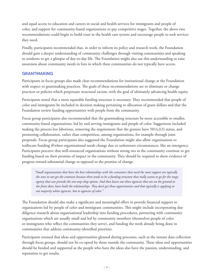and equal access to education and careers in social and health services for immigrants and people of color, and support for community-based organizations to pay competitive wages. Together, the above two recommendations could begin to build trust in the health care system and encourage people to seek services they need.

Finally, participants recommended that, in order to inform its policy and research work, the Foundation should gain a deeper understanding of community challenges through visiting communities and speaking to residents to get a glimpse of day-to-day life. The Foundation might also use this understanding to raise awareness about community needs in fora in which these communities do not typically have access.

### **GRANTMAKING**

Participants in focus groups also made clear recommendations for institutional change at the Foundation with respect to grantmaking practices. The goals of these recommendations are to eliminate or change practices or policies which perpetuate structural racism, with the goal of ultimately advancing health equity.

Participants noted that a more equitable funding structure is necessary. They recommended that people of color and immigrants be included in decision making pertaining to allocation of grant dollars and that the Foundation review funding opportunities with people from the community.

Focus group participants also recommended that the grantmaking structure be more accessible to smaller, community-based organizations, led by and serving immigrants and people of color. Suggestions included making the process less laborious, removing the requirement that the grantee have  $501(c)(3)$  status, and promoting collaboration, rather than competition, among organizations, for example through joint proposals. Focus group participants also suggested the Foundation might also allow organizations to reallocate funding if/when organizational needs change due to unforeseen circumstances, like an emergency. Participants perceive that well-resourced organizations without strong ties in the community continue to get funding based on their promise of impact in the community. They should be required to show evidence of progress toward substantial change as opposed to the promise of change.

*"Small organizations that have the best relationships with the consumers that need the most support are typically the ones to not get the contracts because there tends to be a funding structure that really wants to go for the mega agency that can provide the one-stop-shop option. And that leaves out those agencies that are on the ground at the front door, have built the relationships. They don't get those opportunities and that typically is applying to not majority white agencies, but to agencies of color."*

The Foundation should also make a significant and meaningful effort to provide financial support to organizations led by people of color and immigrant communities. This might include incorporating due diligence research about organizational leadership into funding procedures, partnering with community organizations which are usually small and led by community members (themselves people of color or immigrants who reflect the communities they serve), and funding the work already being done in communities that address community-identified priorities.

Participants stressed that ideas and opportunities gleaned during processes, such as the instant data collection through focus groups, should not be co-opted by those outside the community. These ideas and opportunities should be funded and supported as the people who have the ideas also have the passion, understanding, and reputation to get results.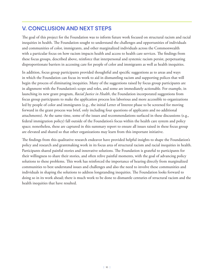## **V. CONCLUSION AND NEXT STEPS**

The goal of this project for the Foundation was to inform future work focused on structural racism and racial inequities in health. The Foundation sought to understand the challenges and opportunities of individuals and communities of color, immigrants, and other marginalized individuals across the Commonwealth with a particular focus on how racism impacts health and access to health care services. The findings from these focus groups, described above, reinforce that interpersonal and systemic racism persist, perpetuating disproportionate barriers in accessing care for people of color and immigrants as well as health inequities.

In addition, focus group participants provided thoughtful and specific suggestions as to areas and ways in which the Foundation can focus its work to aid in dismantling racism and supporting polices that will begin the process of eliminating inequities. Many of the suggestions raised by focus group participants are in alignment with the Foundation's scope and roles, and some are immediately actionable. For example, in launching its new grant program, *Racial Justice in Health*, the Foundation incorporated suggestions from focus group participants to make the application process less laborious and more accessible to organizations led by people of color and immigrants (e.g., the initial Letter of Interest phase to be screened for moving forward in the grant process was brief, only including four questions of applicants and no additional attachments). At the same time, some of the issues and recommendations surfaced in these discussions (e.g., federal immigration policy) fall outside of the Foundation's focus within the health care system and policy space; nonetheless, these are captured in this summary report to ensure all issues raised in these focus group are elevated and shared so that other organizations may learn from this important initiative.

The findings from this qualitative research endeavor have provided helpful insights to shape the Foundation's policy and research and grantmaking work in its focus area of structural racism and racial inequities in health. Participants shared painful stories and innovative solutions. The Foundation is grateful to participants for their willingness to share their stories, and often relive painful moments, with the goal of advancing policy solutions to these problems. This work has reinforced the importance of hearing directly from marginalized communities to best understand issues and challenges and also the need to involve these communities and individuals in shaping the solutions to address longstanding inequities. The Foundation looks forward to doing so in its work ahead; there is much work to be done to dismantle centuries of structural racism and the health inequities that have resulted.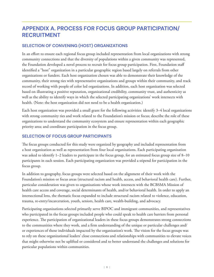# <span id="page-10-0"></span>**APPENDIX A. PROCESS FOR FOCUS GROUP PARTICIPATION/ RECRUITMENT**

## **SELECTION OF CONVENING (HOST) ORGANIZATIONS**

In an effort to ensure each regional focus group included representation from local organizations with strong community connections and that the diversity of populations within a given community was represented, the Foundation developed a novel process to recruit for focus group participation. First, Foundation staff identified a "host" organization in a particular geographic region based largely on referrals from other organizations or funders. Each host organization chosen was able to demonstrate their knowledge of the community, their strong ties with representative organizations and groups within their community, and track record of working with people of color led organizations. In addition, each host organization was selected based on illustrating a positive reputation, organizational credibility, community trust, and authenticity as well as the ability to identify ways in which the selected participating organizations' work intersects with health. (Note: the host organization did not need to be a health organization.)

Each host organization was provided a small grant for the following activities: identify 3–4 local organizations with strong community ties and work related to the Foundation's mission or focus; describe the role of these organizations to understand the community ecosystem and ensure representation within each geographic priority area; and coordinate participation in the focus group.

### **SELECTION OF FOCUS GROUP PARTICIPANTS**

The focus groups conducted for this study were organized by geography and included representation from a host organization as well as representation from four local organizations. Each participating organization was asked to identify 1–2 leaders to participate in the focus group, for an estimated focus group size of 8–10 participants in each session. Each participating organization was provided a stipend for participation in the focus group.

In addition to geography, focus groups were selected based on the alignment of their work with the Foundation's mission or focus areas (structural racism and health, access, and behavioral health care). Further, particular consideration was given to organizations whose work intersects with the BCBSMA Mission of health care access and coverage, social determinants of health, and/or behavioral health. In order to apply an intersectional lens, the thematic focus expanded to include structural racism related to violence, education, trauma, re-entry/incarceration, youth, seniors, health care, wealth-building, and advocacy.

Participating organizations selected primarily serve BIPOC and immigrant communities, and representatives who participated in the focus groups included people who could speak to health care barriers from personal experience. The participation of organizational leaders in these focus groups demonstrates strong connections to the communities where they work, and a firm understanding of the unique or particular challenges and/ or experiences of those individuals impacted by the organization's work. The vision for the focus groups was to rely on these organizational leaders' close connections and relationships with communities to elevate voices that might otherwise not be uplifted or considered and to better understand the challenges and solutions for particular populations within communities.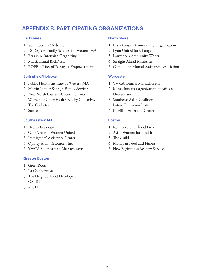## <span id="page-11-0"></span>**APPENDIX B. PARTICIPATING ORGANIZATIONS**

### **Berkshires**

- 1. Volunteers in Medicine
- 2. 18 Degrees Family Services for Western MA
- 3. Berkshire Interfaith Organizing
- 4. Multicultural BRIDGE
- 5. ROPE—Rites of Passage + Empowerment

### **Springfield/Holyoke**

- 1. Public Health Institute of Western MA
- 2. Martin Luther King Jr. Family Services
- 3. New North Citizen's Council Stavros
- 4. Women of Color Health Equity Collective/ The Collective
- 5. Stavros

### **Southeastern MA**

- 1. Health Imperatives
- 2. Cape Verdean Women United
- 3. Immigrants' Assistance Center
- 4. Quincy Asian Resources, Inc.
- 5. YWCA Southeastern Massachusetts

### **Greater Boston**

- 1. GreenRoots
- 2. La Colaborativa
- 3. The Neighborhood Developers
- 4. CAPIC
- 5. MGH

### **North Shore**

- 1. Essex County Community Organization
- 2. Lynn United for Change
- 3. Lawrence Community Works
- 4. Straight Ahead Ministries
- 5. Cambodian Mutual Assistance Association

### **Worcester**

- 1. YWCA Central Massachusetts
- 2. Massachusetts Organization of African Descendants
- 3. Southeast Asian Coalition
- 4. Latino Education Institute
- 5. Brazilian American Center

### **Boston**

- 1. Resilience Sisterhood Project
- 2. Asian Women for Health
- 3. The Guild
- 4. Mattapan Food and Fitness
- 5. New Beginnings Reentry Services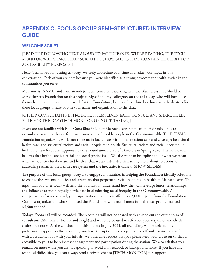# <span id="page-12-0"></span>**APPENDIX C. FOCUS GROUP SEMI-STRUCTURED INTERVIEW GUIDE**

## **WELCOME SCRIPT:**

## [READ THE FOLLOWING TEXT ALOUD TO PARTICIPANTS. WHILE READING, THE TECH MONITOR WILL SHARE THEIR SCREEN TO SHOW SLIDES THAT CONTAIN THE TEXT FOR ACCESSIBILITY PURPOSES.]

Hello! Thank you for joining us today. We truly appreciate your time and value your input in this conversation. Each of you are here because you were identified as a strong advocate for health justice in the communities you serve.

My name is [NAME] and I am an independent consultant working with the Blue Cross Blue Shield of Massachusetts Foundation on this project. Myself and my colleagues on the call today, who will introduce themselves in a moment, do not work for the Foundation, but have been hired as third-party facilitators for these focus groups. Please pop in your name and organization to the chat.

### [OTHER CONSULTANTS INTRODUCE THEMSELVES. EACH CONSULTANT SHARE THEIR ROLE FOR THE DAY (TECH MONITOR OR NOTE-TAKING)]

If you are not familiar with Blue Cross Blue Shield of Massachusetts Foundation, their mission is to expand access to health care for low-income and vulnerable people in the Commonwealth. The BCBSMA Foundation organizes its work into three main focus areas within this mission: care and coverage; behavioral health care; and structural racism and racial inequities in health. Structural racism and racial inequities in health is a new focus area approved by the Foundation Board of Directors in Spring 2020. The Foundation believes that health care is a racial and social justice issue. We also want to be explicit about what we mean when we say structural racism and be clear that we are interested in learning more about solutions to addressing racism in the health care system and the inequities it causes. [SHOW SLIDES]

The purpose of this focus group today is to engage communities in helping the Foundation identify solutions to change the systems, policies and structures that perpetuate racial inequities in health in Massachusetts. The input that you offer today will help the Foundation understand how they can leverage funds, relationships, and influence to meaningfully participate in eliminating racial inequity in the Commonwealth. As compensation for today's call, your organizations have been offered a \$2,000 stipend from the Foundation. Our host organization, who supported the Foundation with recruitment for this focus group, received a \$4,500 stipend.

Today's Zoom call will be recorded. The recording will not be shared with anyone outside of the team of consultants (Meenakshi, Joanna and Leigh) and will only be used to reference your responses and check against our notes. At the conclusion of this project in July 2021, all recordings will be deleted. If you prefer not to appear on the recording, you have the option to keep your video off and rename yourself with a pseudonym or with your initials. We otherwise request that you please keep your video on (if that is accessible to you) to help increase engagement and participation during the session. We also ask that you remain on mute while you are not speaking to avoid any feedback or background noise. If you have any technical difficulties, you can always send a private chat to [TECH MONITOR] for support.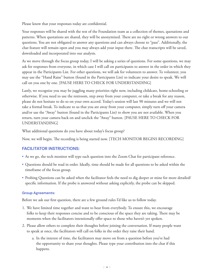Please know that your responses today are confidential.

Your responses will be shared with the rest of the Foundation team as a collection of themes, quotations and patterns. When quotations are shared, they will be anonymized. There are no right or wrong answers to our questions. You are not obligated to answer any questions and can always choose to "pass". Additionally, the chat feature will remain open and you may always add your input there. The chat transcripts will be saved, downloaded and incorporated into our analysis.

As we move through the focus group today, I will be asking a series of questions. For some questions, we may ask for responses from everyone, in which case I will call on participants to answer in the order in which they appear in the Participants List. For other questions, we will ask for volunteers to answer. To volunteer, you may use the "Hand Raise" button (found in the Participants List) to indicate your desire to speak. We will call on you one by one. [PAUSE HERE TO CHECK FOR UNDERSTANDING]

Lastly, we recognize you may be juggling many priorities right now, including childcare, home-schooling or otherwise. If you need to use the restroom, step away from your computer, or take a break for any reason, please do not hesitate to do so on your own accord. Today's session will last 90 minutes and we will not take a formal break. To indicate to us that you are away from your computer, simply turn off your camera and/or use the "Away" button (found in the Participants List) to show you are not available. When you return, turn your camera back on and unclick the "Away" button. [PAUSE HERE TO CHECK FOR UNDERSTANDING]

What additional questions do you have about today's focus group?

Now, we will begin. The recording is being started now. [TECH MONITOR BEGINS RECORDING]

### **FACILITATOR INSTRUCTIONS:**

- **•** As we go, the tech monitor will type each question into the Zoom Chat for participant reference.
- **•** Questions should be read in order. Ideally, time should be made for all questions to be asked within the timeframe of the focus group.
- **•** Probing Questions can be asked when the facilitator feels the need to dig deeper or mine for more detailed/ specific information. If the probe is answered without asking explicitly, the probe can be skipped.

### **Group Agreements:**

Before we ask our first question, there are a few ground rules I'd like us to follow today.

- 1. We have limited time together and want to hear from everybody. To ensure this, we encourage folks to keep their responses concise and to be conscious of the space they are taking. There may be moments when the facilitators intentionally offer space to those who haven't yet spoken.
- 2. Please allow others to complete their thoughts before joining the conversation. If many people want to speak at once, the facilitators will call on folks in the order they raise their hand.
	- a. In the interest of time, the facilitators may move on from a question before you've had the opportunity to share your thoughts. Please type your contribution into the chat if this happens.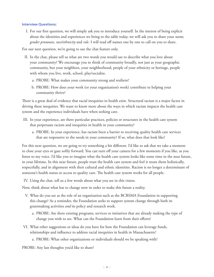#### **Interview Questions:**

I. For our first question, we will simply ask you to introduce yourself. In the interest of being explicit about the identities and experiences we bring to the table today, we will ask you to share your *name, gender pronouns, race/ethnicity* and *role*. I will read off names one by one to call on you to share.

For our next question, we're going to use the chat feature only.

- II. In the chat, please tell us what are two words you would use to describe what you love about your community? We encourage you to think of community broadly, not just as your geographic community, but your neighbors, your neighborhood, people of your ethnicity or heritage, people with whom you live, work, school, play/socialize.
	- a. PROBE: What makes your community strong and resilient?
	- b. PROBE: How does your work (or your organization's work) contribute to helping your community thrive?

There is a great deal of evidence that racial inequities in health exist. Structural racism is a major factor in driving these inequities. We want to know more about the ways in which racism impacts the health care system and the experience individuals have when seeking care.

- III. In your experience, are there particular practices, policies or structures in the health care system that perpetuate racism and inequities in health in your community?
	- a. PROBE: In your experience, has racism been a barrier to receiving quality health care services that are responsive to the needs in your community? If so, what does that look like?

For this next question, we are going to try something a bit different. I'd like to ask that we take a moment to close your eyes or gaze softly forward. You can turn off your camera for a few moments if you like, as you listen to my voice. I'd like you to imagine what the health care system looks like some time in the near future, in your lifetime. In this near future, people trust the health care system and feel it treats them holistically, respectfully, and in alignment with their cultural and ethnic identities. Racism is no longer a determinant of someone's health status or access to quality care. The health care system works for all people.

IV. Using the chat, tell us a few words about what you see in this vision.

Now, think about what has to change now in order to make this future a reality.

- V. What do you see as the role of an organization such as the BCBSMA Foundation in supporting this change? As a reminder, the Foundation seeks to support system change through both its grantmaking activities *and* its policy and research work.
	- a. PROBE: Are there existing programs, services or initiatives that are already making the type of change you wish to see. What can the Foundation learn from their efforts?
- VI. What other suggestions or ideas do you have for how the Foundation can leverage funds, relationships and influence to address racial inequities in health in Massachusetts?
	- a. PROBE: What other organizations or individuals should we be speaking with?

PROBE: Any last thoughts you'd like to share?